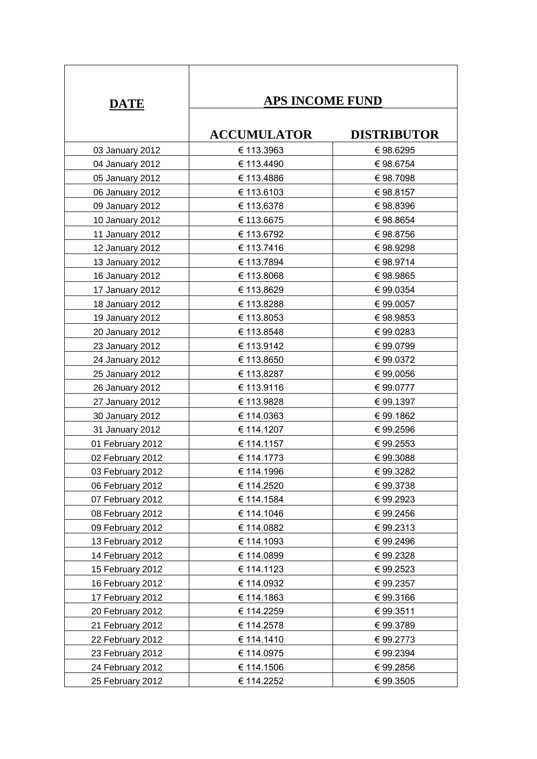| <b>DATE</b>      | <b>APS INCOME FUND</b> |                    |
|------------------|------------------------|--------------------|
|                  | <b>ACCUMULATOR</b>     | <b>DISTRIBUTOR</b> |
| 03 January 2012  | € 113.3963             | €98.6295           |
| 04 January 2012  | € 113.4490             | €98.6754           |
| 05 January 2012  | € 113.4886             | €98.7098           |
| 06 January 2012  | € 113.6103             | €98.8157           |
| 09 January 2012  | € 113.6378             | €98.8396           |
| 10 January 2012  | € 113.6675             | €98.8654           |
| 11 January 2012  | € 113.6792             | €98.8756           |
| 12 January 2012  | € 113.7416             | €98.9298           |
| 13 January 2012  | € 113.7894             | €98.9714           |
| 16 January 2012  | € 113.8068             | €98.9865           |
| 17 January 2012  | € 113.8629             | € 99.0354          |
| 18 January 2012  | € 113.8288             | €99.0057           |
| 19 January 2012  | € 113.8053             | €98.9853           |
| 20 January 2012  | € 113.8548             | €99.0283           |
| 23 January 2012  | € 113.9142             | €99.0799           |
| 24 January 2012  | € 113.8650             | €99.0372           |
| 25 January 2012  | € 113.8287             | €99.0056           |
| 26 January 2012  | € 113.9116             | €99.0777           |
| 27 January 2012  | € 113.9828             | € 99.1397          |
| 30 January 2012  | € 114.0363             | €99.1862           |
| 31 January 2012  | € 114.1207             | € 99.2596          |
| 01 February 2012 | € 114.1157             | €99.2553           |
| 02 February 2012 | € 114.1773             | €99.3088           |
| 03 February 2012 | € 114.1996             | €99.3282           |
| 06 February 2012 | € 114.2520             | €99.3738           |
| 07 February 2012 | € 114.1584             | €99.2923           |
| 08 February 2012 | € 114.1046             | €99.2456           |
| 09 February 2012 | € 114.0882             | €99.2313           |
| 13 February 2012 | € 114.1093             | € 99.2496          |
| 14 February 2012 | € 114.0899             | €99.2328           |
| 15 February 2012 | € 114.1123             | €99.2523           |
| 16 February 2012 | € 114.0932             | € 99.2357          |
| 17 February 2012 | € 114.1863             | €99.3166           |
| 20 February 2012 | € 114.2259             | € 99.3511          |
| 21 February 2012 | € 114.2578             | €99.3789           |
| 22 February 2012 | € 114.1410             | € 99.2773          |
| 23 February 2012 | € 114.0975             | € 99.2394          |
| 24 February 2012 | € 114.1506             | €99.2856           |
| 25 February 2012 | € 114.2252             | € 99.3505          |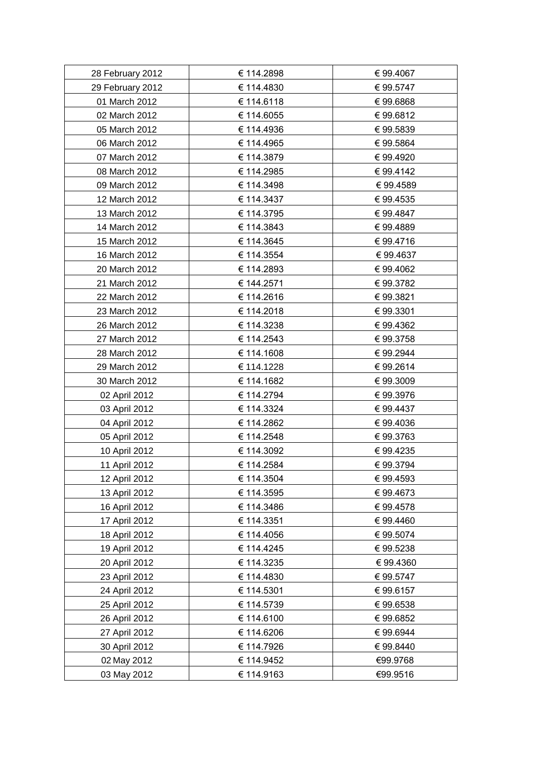| 28 February 2012 | € 114.2898 | € 99.4067 |
|------------------|------------|-----------|
| 29 February 2012 | € 114.4830 | € 99.5747 |
| 01 March 2012    | € 114.6118 | €99.6868  |
| 02 March 2012    | € 114.6055 | €99.6812  |
| 05 March 2012    | € 114.4936 | €99.5839  |
| 06 March 2012    | € 114.4965 | € 99.5864 |
| 07 March 2012    | € 114.3879 | €99.4920  |
| 08 March 2012    | € 114.2985 | €99.4142  |
| 09 March 2012    | € 114.3498 | €99.4589  |
| 12 March 2012    | € 114.3437 | € 99.4535 |
| 13 March 2012    | € 114.3795 | €99.4847  |
| 14 March 2012    | € 114.3843 | €99.4889  |
| 15 March 2012    | € 114.3645 | € 99.4716 |
| 16 March 2012    | € 114.3554 | € 99.4637 |
| 20 March 2012    | € 114.2893 | €99.4062  |
| 21 March 2012    | € 144.2571 | €99.3782  |
| 22 March 2012    | € 114.2616 | €99.3821  |
| 23 March 2012    | € 114.2018 | € 99.3301 |
| 26 March 2012    | € 114.3238 | € 99.4362 |
| 27 March 2012    | € 114.2543 | € 99.3758 |
| 28 March 2012    | € 114.1608 | €99.2944  |
| 29 March 2012    | € 114.1228 | €99.2614  |
| 30 March 2012    | € 114.1682 | €99.3009  |
| 02 April 2012    | € 114.2794 | €99.3976  |
| 03 April 2012    | € 114.3324 | € 99.4437 |
| 04 April 2012    | € 114.2862 | €99.4036  |
| 05 April 2012    | € 114.2548 | €99.3763  |
| 10 April 2012    | € 114.3092 | €99.4235  |
| 11 April 2012    | € 114.2584 | € 99.3794 |
| 12 April 2012    | € 114.3504 | € 99.4593 |
| 13 April 2012    | € 114.3595 | €99.4673  |
| 16 April 2012    | € 114.3486 | € 99.4578 |
| 17 April 2012    | € 114.3351 | € 99.4460 |
| 18 April 2012    | € 114.4056 | € 99.5074 |
| 19 April 2012    | € 114.4245 | €99.5238  |
| 20 April 2012    | € 114.3235 | € 99.4360 |
| 23 April 2012    | € 114.4830 | € 99.5747 |
| 24 April 2012    | € 114.5301 | € 99.6157 |
| 25 April 2012    | € 114.5739 | €99.6538  |
| 26 April 2012    | € 114.6100 | €99.6852  |
| 27 April 2012    | € 114.6206 | €99.6944  |
| 30 April 2012    | € 114.7926 | € 99.8440 |
| 02 May 2012      | € 114.9452 | €99.9768  |
| 03 May 2012      | € 114.9163 | €99.9516  |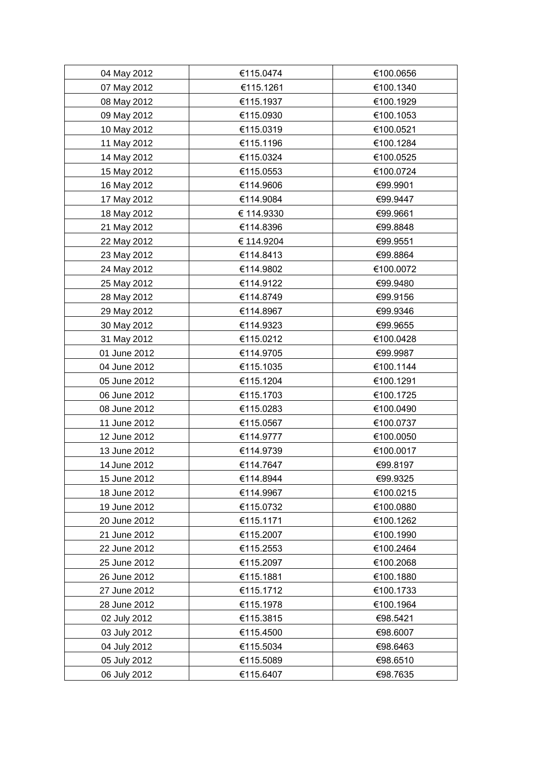| 04 May 2012  | €115.0474  | €100.0656 |
|--------------|------------|-----------|
| 07 May 2012  | €115.1261  | €100.1340 |
| 08 May 2012  | €115.1937  | €100.1929 |
| 09 May 2012  | €115.0930  | €100.1053 |
| 10 May 2012  | €115.0319  | €100.0521 |
| 11 May 2012  | €115.1196  | €100.1284 |
| 14 May 2012  | €115.0324  | €100.0525 |
| 15 May 2012  | €115.0553  | €100.0724 |
| 16 May 2012  | €114.9606  | €99.9901  |
| 17 May 2012  | €114.9084  | €99.9447  |
| 18 May 2012  | € 114.9330 | €99.9661  |
| 21 May 2012  | €114.8396  | €99.8848  |
| 22 May 2012  | € 114.9204 | €99.9551  |
| 23 May 2012  | €114.8413  | €99.8864  |
| 24 May 2012  | €114.9802  | €100.0072 |
| 25 May 2012  | €114.9122  | €99.9480  |
| 28 May 2012  | €114.8749  | €99.9156  |
| 29 May 2012  | €114.8967  | €99.9346  |
| 30 May 2012  | €114.9323  | €99.9655  |
| 31 May 2012  | €115.0212  | €100.0428 |
| 01 June 2012 | €114.9705  | €99.9987  |
| 04 June 2012 | €115.1035  | €100.1144 |
| 05 June 2012 | €115.1204  | €100.1291 |
| 06 June 2012 | €115.1703  | €100.1725 |
| 08 June 2012 | €115.0283  | €100.0490 |
| 11 June 2012 | €115.0567  | €100.0737 |
| 12 June 2012 | €114.9777  | €100.0050 |
| 13 June 2012 | €114.9739  | €100.0017 |
| 14 June 2012 | €114.7647  | €99.8197  |
| 15 June 2012 | €114.8944  | €99.9325  |
| 18 June 2012 | €114.9967  | €100.0215 |
| 19 June 2012 | €115.0732  | €100.0880 |
| 20 June 2012 | €115.1171  | €100.1262 |
| 21 June 2012 | €115.2007  | €100.1990 |
| 22 June 2012 | €115.2553  | €100.2464 |
| 25 June 2012 | €115.2097  | €100.2068 |
| 26 June 2012 | €115.1881  | €100.1880 |
| 27 June 2012 | €115.1712  | €100.1733 |
| 28 June 2012 | €115.1978  | €100.1964 |
| 02 July 2012 | €115.3815  | €98.5421  |
| 03 July 2012 | €115.4500  | €98.6007  |
| 04 July 2012 | €115.5034  | €98.6463  |
| 05 July 2012 | €115.5089  | €98.6510  |
| 06 July 2012 | €115.6407  | €98.7635  |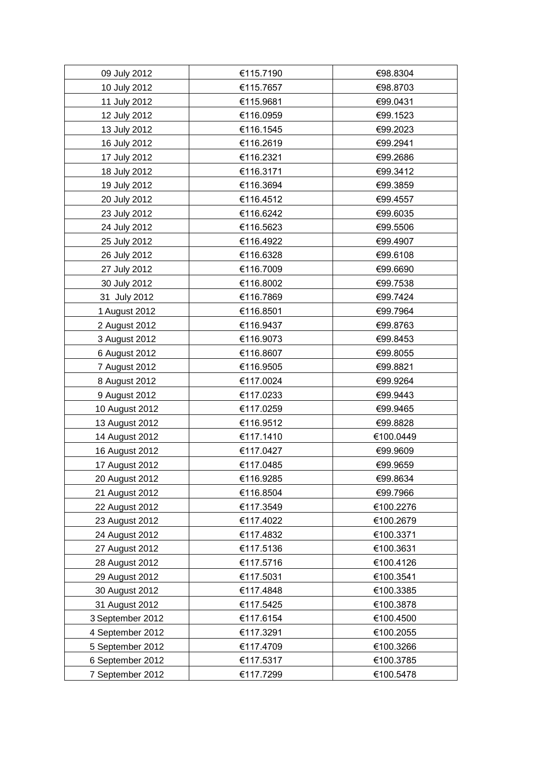| 09 July 2012     | €115.7190 | €98.8304  |
|------------------|-----------|-----------|
| 10 July 2012     | €115.7657 | €98.8703  |
| 11 July 2012     | €115.9681 | €99.0431  |
| 12 July 2012     | €116.0959 | €99.1523  |
| 13 July 2012     | €116.1545 | €99.2023  |
| 16 July 2012     | €116.2619 | €99.2941  |
| 17 July 2012     | €116.2321 | €99.2686  |
| 18 July 2012     | €116.3171 | €99.3412  |
| 19 July 2012     | €116.3694 | €99.3859  |
| 20 July 2012     | €116.4512 | €99.4557  |
| 23 July 2012     | €116.6242 | €99.6035  |
| 24 July 2012     | €116.5623 | €99.5506  |
| 25 July 2012     | €116.4922 | €99.4907  |
| 26 July 2012     | €116.6328 | €99.6108  |
| 27 July 2012     | €116.7009 | €99.6690  |
| 30 July 2012     | €116.8002 | €99.7538  |
| 31 July 2012     | €116.7869 | €99.7424  |
| 1 August 2012    | €116.8501 | €99.7964  |
| 2 August 2012    | €116.9437 | €99.8763  |
| 3 August 2012    | €116.9073 | €99.8453  |
| 6 August 2012    | €116.8607 | €99.8055  |
| 7 August 2012    | €116.9505 | €99.8821  |
| 8 August 2012    | €117.0024 | €99.9264  |
| 9 August 2012    | €117.0233 | €99.9443  |
| 10 August 2012   | €117.0259 | €99.9465  |
| 13 August 2012   | €116.9512 | €99.8828  |
| 14 August 2012   | €117.1410 | €100.0449 |
| 16 August 2012   | €117.0427 | €99.9609  |
| 17 August 2012   | €117.0485 | €99.9659  |
| 20 August 2012   | €116.9285 | €99.8634  |
| 21 August 2012   | €116.8504 | €99.7966  |
| 22 August 2012   | €117.3549 | €100.2276 |
| 23 August 2012   | €117.4022 | €100.2679 |
| 24 August 2012   | €117.4832 | €100.3371 |
| 27 August 2012   | €117.5136 | €100.3631 |
| 28 August 2012   | €117.5716 | €100.4126 |
| 29 August 2012   | €117.5031 | €100.3541 |
| 30 August 2012   | €117.4848 | €100.3385 |
| 31 August 2012   | €117.5425 | €100.3878 |
| 3 September 2012 | €117.6154 | €100.4500 |
| 4 September 2012 | €117.3291 | €100.2055 |
| 5 September 2012 | €117.4709 | €100.3266 |
| 6 September 2012 | €117.5317 | €100.3785 |
| 7 September 2012 | €117.7299 | €100.5478 |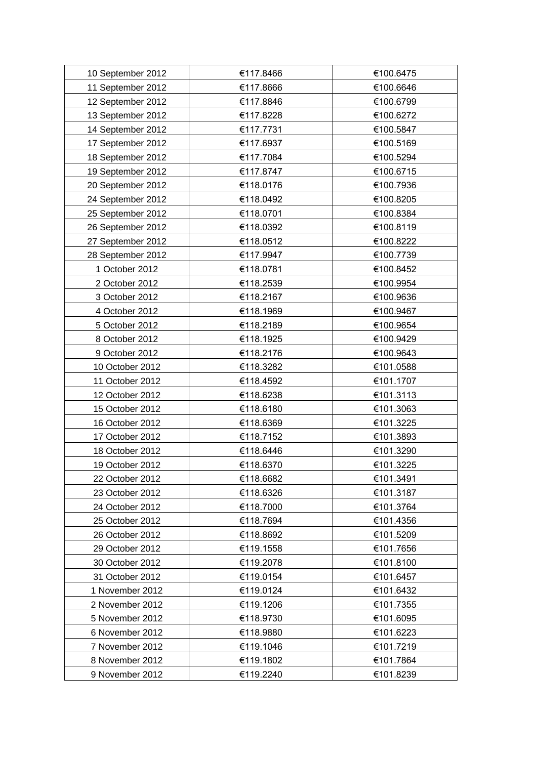| 10 September 2012 | €117.8466 | €100.6475 |
|-------------------|-----------|-----------|
| 11 September 2012 | €117.8666 | €100.6646 |
| 12 September 2012 | €117.8846 | €100.6799 |
| 13 September 2012 | €117.8228 | €100.6272 |
| 14 September 2012 | €117.7731 | €100.5847 |
| 17 September 2012 | €117.6937 | €100.5169 |
| 18 September 2012 | €117.7084 | €100.5294 |
| 19 September 2012 | €117.8747 | €100.6715 |
| 20 September 2012 | €118.0176 | €100.7936 |
| 24 September 2012 | €118.0492 | €100.8205 |
| 25 September 2012 | €118.0701 | €100.8384 |
| 26 September 2012 | €118.0392 | €100.8119 |
| 27 September 2012 | €118.0512 | €100.8222 |
| 28 September 2012 | €117.9947 | €100.7739 |
| 1 October 2012    | €118.0781 | €100.8452 |
| 2 October 2012    | €118.2539 | €100.9954 |
| 3 October 2012    | €118.2167 | €100.9636 |
| 4 October 2012    | €118.1969 | €100.9467 |
| 5 October 2012    | €118.2189 | €100.9654 |
| 8 October 2012    | €118.1925 | €100.9429 |
| 9 October 2012    | €118.2176 | €100.9643 |
| 10 October 2012   | €118.3282 | €101.0588 |
| 11 October 2012   | €118.4592 | €101.1707 |
| 12 October 2012   | €118.6238 | €101.3113 |
| 15 October 2012   | €118.6180 | €101.3063 |
| 16 October 2012   | €118.6369 | €101.3225 |
| 17 October 2012   | €118.7152 | €101.3893 |
| 18 October 2012   | €118.6446 | €101.3290 |
| 19 October 2012   | €118.6370 | €101.3225 |
| 22 October 2012   | €118.6682 | €101.3491 |
| 23 October 2012   | €118.6326 | €101.3187 |
| 24 October 2012   | €118.7000 | €101.3764 |
| 25 October 2012   | €118.7694 | €101.4356 |
| 26 October 2012   | €118.8692 | €101.5209 |
| 29 October 2012   | €119.1558 | €101.7656 |
| 30 October 2012   | €119.2078 | €101.8100 |
| 31 October 2012   | €119.0154 | €101.6457 |
| 1 November 2012   | €119.0124 | €101.6432 |
| 2 November 2012   | €119.1206 | €101.7355 |
| 5 November 2012   | €118.9730 | €101.6095 |
| 6 November 2012   | €118.9880 | €101.6223 |
| 7 November 2012   | €119.1046 | €101.7219 |
| 8 November 2012   | €119.1802 | €101.7864 |
| 9 November 2012   | €119.2240 | €101.8239 |